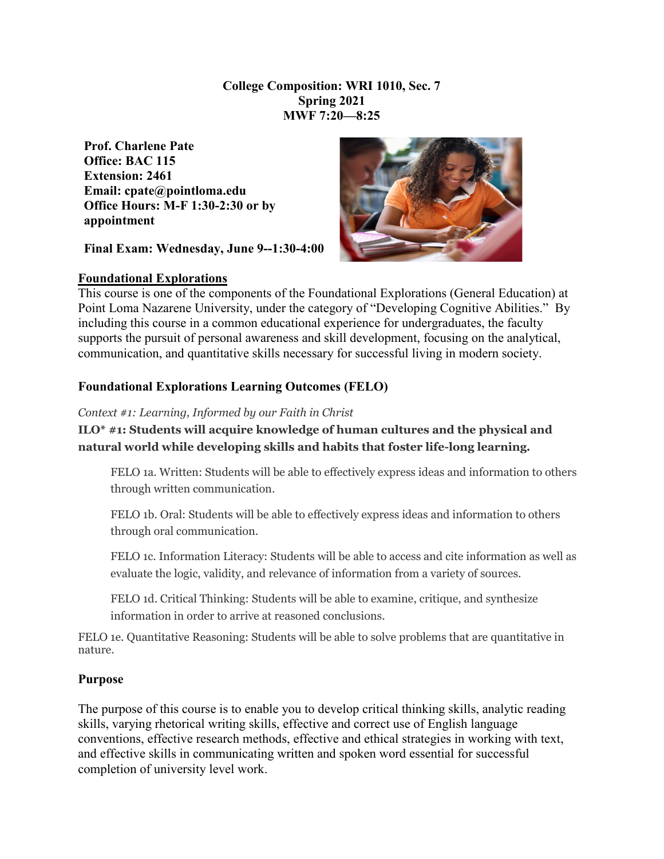## **College Composition: WRI 1010, Sec. 7 Spring 2021 MWF 7:20—8:25**

**Prof. Charlene Pate Office: BAC 115 Extension: 2461 Email: cpate@pointloma.edu Office Hours: M-F 1:30-2:30 or by appointment** 

**Final Exam: Wednesday, June 9--1:30-4:00**



#### **Foundational Explorations**

This course is one of the components of the Foundational Explorations (General Education) at Point Loma Nazarene University, under the category of "Developing Cognitive Abilities." By including this course in a common educational experience for undergraduates, the faculty supports the pursuit of personal awareness and skill development, focusing on the analytical, communication, and quantitative skills necessary for successful living in modern society.

## **Foundational Explorations Learning Outcomes (FELO)**

#### *Context #1: Learning, Informed by our Faith in Christ*

**ILO\* #1: Students will acquire knowledge of human cultures and the physical and natural world while developing skills and habits that foster life-long learning.**

FELO 1a. Written: Students will be able to effectively express ideas and information to others through written communication.

FELO 1b. Oral: Students will be able to effectively express ideas and information to others through oral communication.

FELO 1c. Information Literacy: Students will be able to access and cite information as well as evaluate the logic, validity, and relevance of information from a variety of sources.

FELO 1d. Critical Thinking: Students will be able to examine, critique, and synthesize information in order to arrive at reasoned conclusions.

FELO 1e. Quantitative Reasoning: Students will be able to solve problems that are quantitative in nature.

#### **Purpose**

The purpose of this course is to enable you to develop critical thinking skills, analytic reading skills, varying rhetorical writing skills, effective and correct use of English language conventions, effective research methods, effective and ethical strategies in working with text, and effective skills in communicating written and spoken word essential for successful completion of university level work.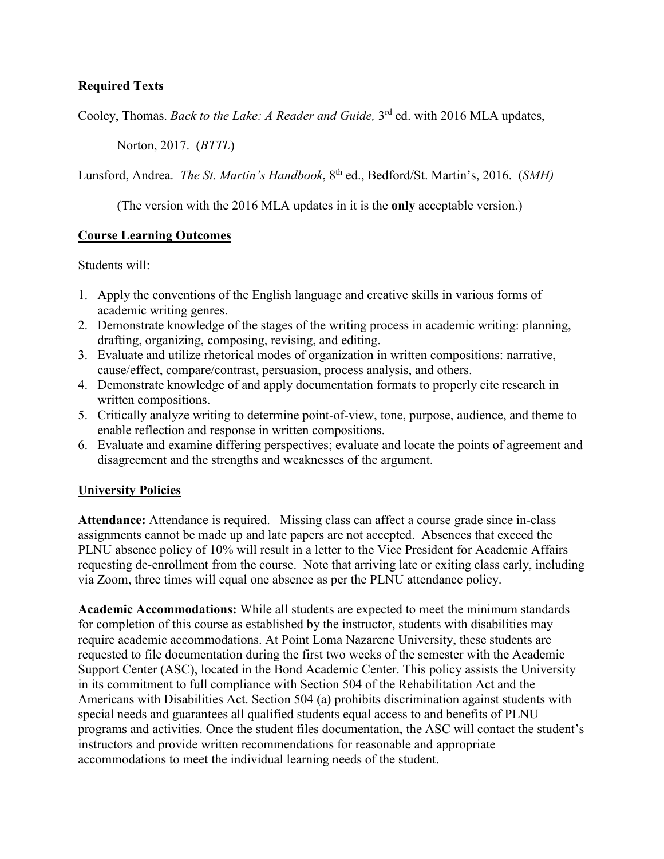## **Required Texts**

Cooley, Thomas. *Back to the Lake: A Reader and Guide*, 3<sup>rd</sup> ed. with 2016 MLA updates,

Norton, 2017. (*BTTL*)

Lunsford, Andrea. *The St. Martin's Handbook*, 8<sup>th</sup> ed., Bedford/St. Martin's, 2016. (*SMH*)

(The version with the 2016 MLA updates in it is the **only** acceptable version.)

## **Course Learning Outcomes**

Students will:

- 1. Apply the conventions of the English language and creative skills in various forms of academic writing genres.
- 2. Demonstrate knowledge of the stages of the writing process in academic writing: planning, drafting, organizing, composing, revising, and editing.
- 3. Evaluate and utilize rhetorical modes of organization in written compositions: narrative, cause/effect, compare/contrast, persuasion, process analysis, and others.
- 4. Demonstrate knowledge of and apply documentation formats to properly cite research in written compositions.
- 5. Critically analyze writing to determine point-of-view, tone, purpose, audience, and theme to enable reflection and response in written compositions.
- 6. Evaluate and examine differing perspectives; evaluate and locate the points of agreement and disagreement and the strengths and weaknesses of the argument.

## **University Policies**

**Attendance:** Attendance is required. Missing class can affect a course grade since in-class assignments cannot be made up and late papers are not accepted. Absences that exceed the PLNU absence policy of 10% will result in a letter to the Vice President for Academic Affairs requesting de-enrollment from the course. Note that arriving late or exiting class early, including via Zoom, three times will equal one absence as per the PLNU attendance policy.

**Academic Accommodations:** While all students are expected to meet the minimum standards for completion of this course as established by the instructor, students with disabilities may require academic accommodations. At Point Loma Nazarene University, these students are requested to file documentation during the first two weeks of the semester with the Academic Support Center (ASC), located in the Bond Academic Center. This policy assists the University in its commitment to full compliance with Section 504 of the Rehabilitation Act and the Americans with Disabilities Act. Section 504 (a) prohibits discrimination against students with special needs and guarantees all qualified students equal access to and benefits of PLNU programs and activities. Once the student files documentation, the ASC will contact the student's instructors and provide written recommendations for reasonable and appropriate accommodations to meet the individual learning needs of the student.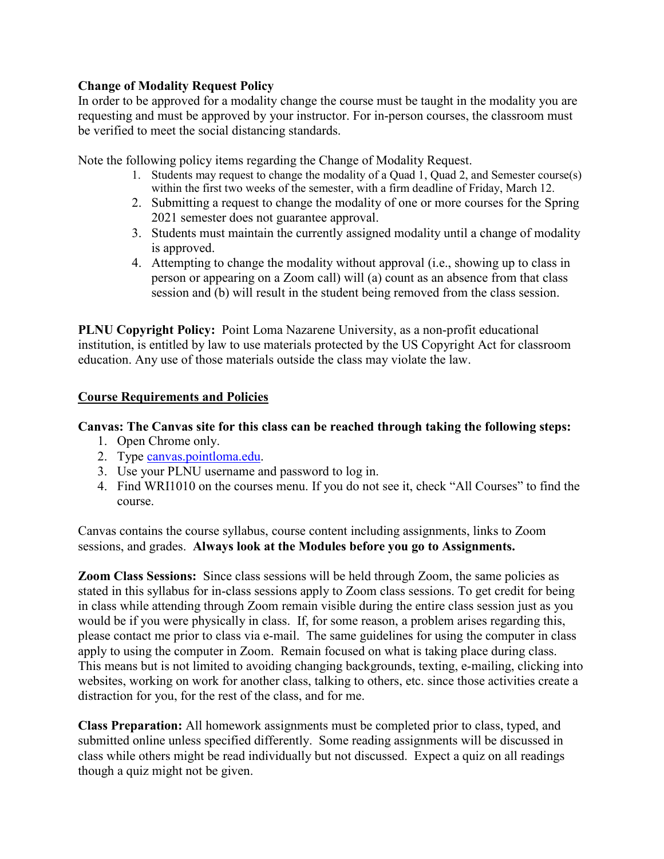## **Change of Modality Request Policy**

In order to be approved for a modality change the course must be taught in the modality you are requesting and must be approved by your instructor. For in-person courses, the classroom must be verified to meet the social distancing standards.

Note the following policy items regarding the Change of Modality Request.

- 1. Students may request to change the modality of a Quad 1, Quad 2, and Semester course(s) within the first two weeks of the semester, with a firm deadline of Friday, March 12.
- 2. Submitting a request to change the modality of one or more courses for the Spring 2021 semester does not guarantee approval.
- 3. Students must maintain the currently assigned modality until a change of modality is approved.
- 4. Attempting to change the modality without approval (i.e., showing up to class in person or appearing on a Zoom call) will (a) count as an absence from that class session and (b) will result in the student being removed from the class session.

**PLNU Copyright Policy:** Point Loma Nazarene University, as a non-profit educational institution, is entitled by law to use materials protected by the US Copyright Act for classroom education. Any use of those materials outside the class may violate the law.

## **Course Requirements and Policies**

## **Canvas: The Canvas site for this class can be reached through taking the following steps:**

- 1. Open Chrome only.
- 2. Type [canvas.pointloma.edu.](http://canvas.pointloma.edu/)
- 3. Use your PLNU username and password to log in.
- 4. Find WRI1010 on the courses menu. If you do not see it, check "All Courses" to find the course.

Canvas contains the course syllabus, course content including assignments, links to Zoom sessions, and grades. **Always look at the Modules before you go to Assignments.** 

**Zoom Class Sessions:** Since class sessions will be held through Zoom, the same policies as stated in this syllabus for in-class sessions apply to Zoom class sessions. To get credit for being in class while attending through Zoom remain visible during the entire class session just as you would be if you were physically in class. If, for some reason, a problem arises regarding this, please contact me prior to class via e-mail. The same guidelines for using the computer in class apply to using the computer in Zoom. Remain focused on what is taking place during class. This means but is not limited to avoiding changing backgrounds, texting, e-mailing, clicking into websites, working on work for another class, talking to others, etc. since those activities create a distraction for you, for the rest of the class, and for me.

**Class Preparation:** All homework assignments must be completed prior to class, typed, and submitted online unless specified differently. Some reading assignments will be discussed in class while others might be read individually but not discussed. Expect a quiz on all readings though a quiz might not be given.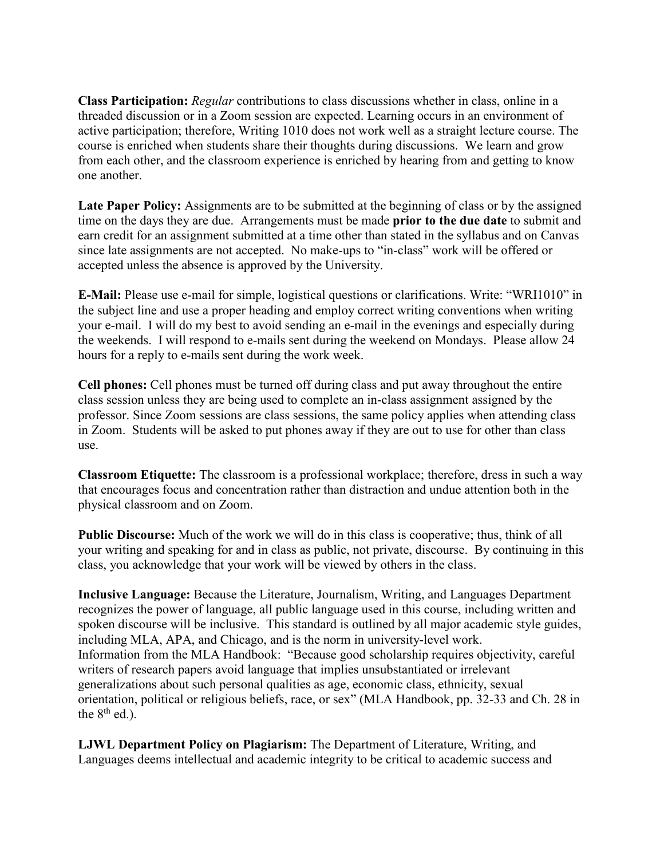**Class Participation:** *Regular* contributions to class discussions whether in class, online in a threaded discussion or in a Zoom session are expected. Learning occurs in an environment of active participation; therefore, Writing 1010 does not work well as a straight lecture course. The course is enriched when students share their thoughts during discussions. We learn and grow from each other, and the classroom experience is enriched by hearing from and getting to know one another.

**Late Paper Policy:** Assignments are to be submitted at the beginning of class or by the assigned time on the days they are due. Arrangements must be made **prior to the due date** to submit and earn credit for an assignment submitted at a time other than stated in the syllabus and on Canvas since late assignments are not accepted. No make-ups to "in-class" work will be offered or accepted unless the absence is approved by the University.

**E-Mail:** Please use e-mail for simple, logistical questions or clarifications. Write: "WRI1010" in the subject line and use a proper heading and employ correct writing conventions when writing your e-mail. I will do my best to avoid sending an e-mail in the evenings and especially during the weekends. I will respond to e-mails sent during the weekend on Mondays. Please allow 24 hours for a reply to e-mails sent during the work week.

**Cell phones:** Cell phones must be turned off during class and put away throughout the entire class session unless they are being used to complete an in-class assignment assigned by the professor. Since Zoom sessions are class sessions, the same policy applies when attending class in Zoom. Students will be asked to put phones away if they are out to use for other than class use.

**Classroom Etiquette:** The classroom is a professional workplace; therefore, dress in such a way that encourages focus and concentration rather than distraction and undue attention both in the physical classroom and on Zoom.

**Public Discourse:** Much of the work we will do in this class is cooperative; thus, think of all your writing and speaking for and in class as public, not private, discourse. By continuing in this class, you acknowledge that your work will be viewed by others in the class.

**Inclusive Language:** Because the Literature, Journalism, Writing, and Languages Department recognizes the power of language, all public language used in this course, including written and spoken discourse will be inclusive. This standard is outlined by all major academic style guides, including MLA, APA, and Chicago, and is the norm in university-level work. Information from the MLA Handbook: "Because good scholarship requires objectivity, careful writers of research papers avoid language that implies unsubstantiated or irrelevant generalizations about such personal qualities as age, economic class, ethnicity, sexual orientation, political or religious beliefs, race, or sex" (MLA Handbook, pp. 32-33 and Ch. 28 in the  $8<sup>th</sup>$  ed.).

**LJWL Department Policy on Plagiarism:** The Department of Literature, Writing, and Languages deems intellectual and academic integrity to be critical to academic success and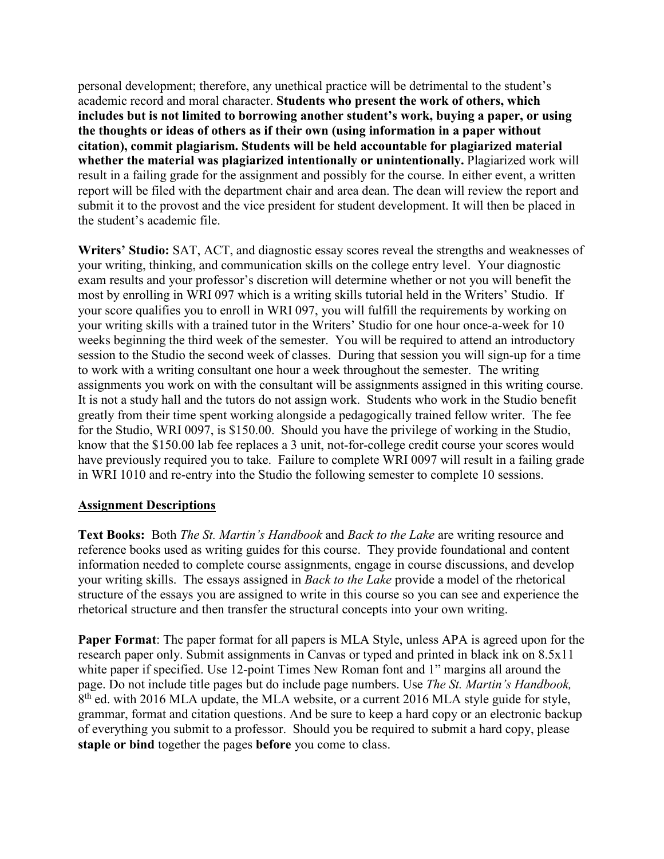personal development; therefore, any unethical practice will be detrimental to the student's academic record and moral character. **Students who present the work of others, which includes but is not limited to borrowing another student's work, buying a paper, or using the thoughts or ideas of others as if their own (using information in a paper without citation), commit plagiarism. Students will be held accountable for plagiarized material whether the material was plagiarized intentionally or unintentionally.** Plagiarized work will result in a failing grade for the assignment and possibly for the course. In either event, a written report will be filed with the department chair and area dean. The dean will review the report and submit it to the provost and the vice president for student development. It will then be placed in the student's academic file.

**Writers' Studio:** SAT, ACT, and diagnostic essay scores reveal the strengths and weaknesses of your writing, thinking, and communication skills on the college entry level. Your diagnostic exam results and your professor's discretion will determine whether or not you will benefit the most by enrolling in WRI 097 which is a writing skills tutorial held in the Writers' Studio. If your score qualifies you to enroll in WRI 097, you will fulfill the requirements by working on your writing skills with a trained tutor in the Writers' Studio for one hour once-a-week for 10 weeks beginning the third week of the semester. You will be required to attend an introductory session to the Studio the second week of classes. During that session you will sign-up for a time to work with a writing consultant one hour a week throughout the semester. The writing assignments you work on with the consultant will be assignments assigned in this writing course. It is not a study hall and the tutors do not assign work. Students who work in the Studio benefit greatly from their time spent working alongside a pedagogically trained fellow writer. The fee for the Studio, WRI 0097, is \$150.00. Should you have the privilege of working in the Studio, know that the \$150.00 lab fee replaces a 3 unit, not-for-college credit course your scores would have previously required you to take. Failure to complete WRI 0097 will result in a failing grade in WRI 1010 and re-entry into the Studio the following semester to complete 10 sessions.

## **Assignment Descriptions**

**Text Books:** Both *The St. Martin's Handbook* and *Back to the Lake* are writing resource and reference books used as writing guides for this course. They provide foundational and content information needed to complete course assignments, engage in course discussions, and develop your writing skills. The essays assigned in *Back to the Lake* provide a model of the rhetorical structure of the essays you are assigned to write in this course so you can see and experience the rhetorical structure and then transfer the structural concepts into your own writing.

**Paper Format**: The paper format for all papers is MLA Style, unless APA is agreed upon for the research paper only. Submit assignments in Canvas or typed and printed in black ink on 8.5x11 white paper if specified. Use 12-point Times New Roman font and 1" margins all around the page. Do not include title pages but do include page numbers. Use *The St. Martin's Handbook,*  8<sup>th</sup> ed. with 2016 MLA update, the MLA website, or a current 2016 MLA style guide for style, grammar, format and citation questions. And be sure to keep a hard copy or an electronic backup of everything you submit to a professor. Should you be required to submit a hard copy, please **staple or bind** together the pages **before** you come to class.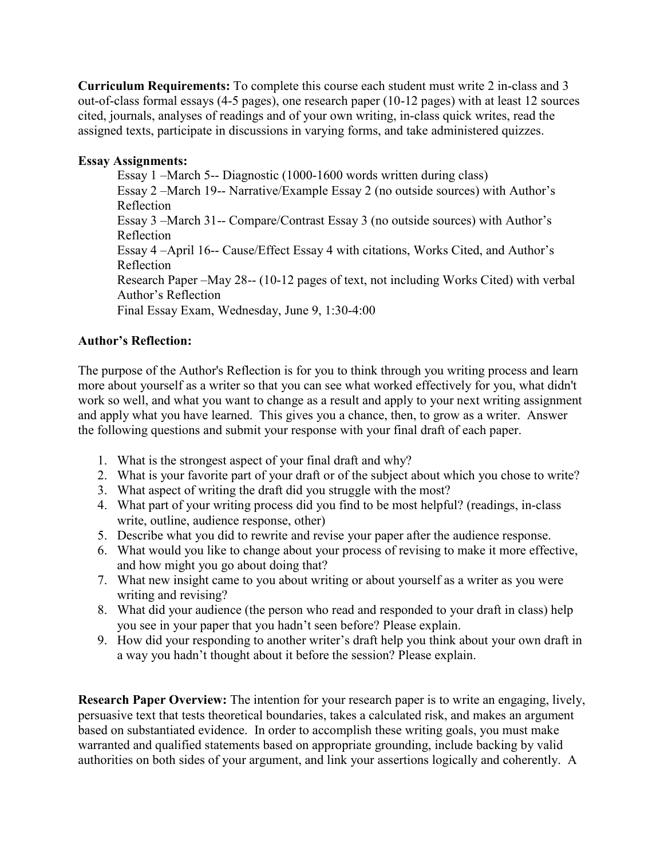**Curriculum Requirements:** To complete this course each student must write 2 in-class and 3 out-of-class formal essays (4-5 pages), one research paper (10-12 pages) with at least 12 sources cited, journals, analyses of readings and of your own writing, in-class quick writes, read the assigned texts, participate in discussions in varying forms, and take administered quizzes.

# **Essay Assignments:**

Essay 1 –March 5-- Diagnostic (1000-1600 words written during class) Essay 2 –March 19-- Narrative/Example Essay 2 (no outside sources) with Author's Reflection Essay 3 –March 31-- Compare/Contrast Essay 3 (no outside sources) with Author's Reflection Essay 4 –April 16-- Cause/Effect Essay 4 with citations, Works Cited, and Author's Reflection Research Paper –May 28-- (10-12 pages of text, not including Works Cited) with verbal Author's Reflection Final Essay Exam, Wednesday, June 9, 1:30-4:00

# **Author's Reflection:**

The purpose of the Author's Reflection is for you to think through you writing process and learn more about yourself as a writer so that you can see what worked effectively for you, what didn't work so well, and what you want to change as a result and apply to your next writing assignment and apply what you have learned. This gives you a chance, then, to grow as a writer. Answer the following questions and submit your response with your final draft of each paper.

- 1. What is the strongest aspect of your final draft and why?
- 2. What is your favorite part of your draft or of the subject about which you chose to write?
- 3. What aspect of writing the draft did you struggle with the most?
- 4. What part of your writing process did you find to be most helpful? (readings, in-class write, outline, audience response, other)
- 5. Describe what you did to rewrite and revise your paper after the audience response.
- 6. What would you like to change about your process of revising to make it more effective, and how might you go about doing that?
- 7. What new insight came to you about writing or about yourself as a writer as you were writing and revising?
- 8. What did your audience (the person who read and responded to your draft in class) help you see in your paper that you hadn't seen before? Please explain.
- 9. How did your responding to another writer's draft help you think about your own draft in a way you hadn't thought about it before the session? Please explain.

**Research Paper Overview:** The intention for your research paper is to write an engaging, lively, persuasive text that tests theoretical boundaries, takes a calculated risk, and makes an argument based on substantiated evidence. In order to accomplish these writing goals, you must make warranted and qualified statements based on appropriate grounding, include backing by valid authorities on both sides of your argument, and link your assertions logically and coherently. A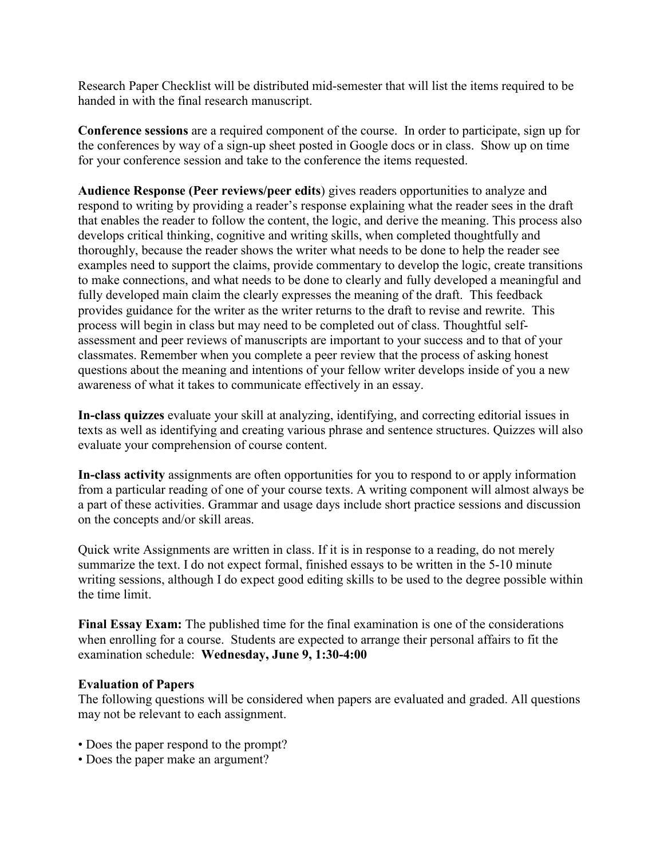Research Paper Checklist will be distributed mid-semester that will list the items required to be handed in with the final research manuscript.

**Conference sessions** are a required component of the course. In order to participate, sign up for the conferences by way of a sign-up sheet posted in Google docs or in class. Show up on time for your conference session and take to the conference the items requested.

**Audience Response (Peer reviews/peer edits**) gives readers opportunities to analyze and respond to writing by providing a reader's response explaining what the reader sees in the draft that enables the reader to follow the content, the logic, and derive the meaning. This process also develops critical thinking, cognitive and writing skills, when completed thoughtfully and thoroughly, because the reader shows the writer what needs to be done to help the reader see examples need to support the claims, provide commentary to develop the logic, create transitions to make connections, and what needs to be done to clearly and fully developed a meaningful and fully developed main claim the clearly expresses the meaning of the draft. This feedback provides guidance for the writer as the writer returns to the draft to revise and rewrite. This process will begin in class but may need to be completed out of class. Thoughtful selfassessment and peer reviews of manuscripts are important to your success and to that of your classmates. Remember when you complete a peer review that the process of asking honest questions about the meaning and intentions of your fellow writer develops inside of you a new awareness of what it takes to communicate effectively in an essay.

**In-class quizzes** evaluate your skill at analyzing, identifying, and correcting editorial issues in texts as well as identifying and creating various phrase and sentence structures. Quizzes will also evaluate your comprehension of course content.

**In-class activity** assignments are often opportunities for you to respond to or apply information from a particular reading of one of your course texts. A writing component will almost always be a part of these activities. Grammar and usage days include short practice sessions and discussion on the concepts and/or skill areas.

Quick write Assignments are written in class. If it is in response to a reading, do not merely summarize the text. I do not expect formal, finished essays to be written in the 5-10 minute writing sessions, although I do expect good editing skills to be used to the degree possible within the time limit.

**Final Essay Exam:** The published time for the final examination is one of the considerations when enrolling for a course. Students are expected to arrange their personal affairs to fit the examination schedule: **Wednesday, June 9, 1:30-4:00** 

#### **Evaluation of Papers**

The following questions will be considered when papers are evaluated and graded. All questions may not be relevant to each assignment.

- Does the paper respond to the prompt?
- Does the paper make an argument?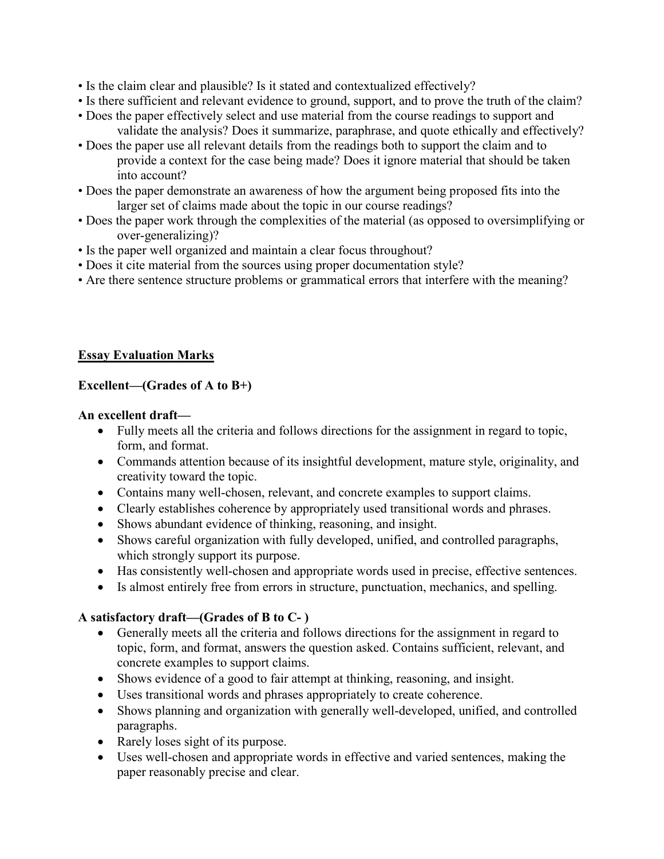- Is the claim clear and plausible? Is it stated and contextualized effectively?
- Is there sufficient and relevant evidence to ground, support, and to prove the truth of the claim?
- Does the paper effectively select and use material from the course readings to support and validate the analysis? Does it summarize, paraphrase, and quote ethically and effectively?
- Does the paper use all relevant details from the readings both to support the claim and to provide a context for the case being made? Does it ignore material that should be taken into account?
- Does the paper demonstrate an awareness of how the argument being proposed fits into the larger set of claims made about the topic in our course readings?
- Does the paper work through the complexities of the material (as opposed to oversimplifying or over-generalizing)?
- Is the paper well organized and maintain a clear focus throughout?
- Does it cite material from the sources using proper documentation style?
- Are there sentence structure problems or grammatical errors that interfere with the meaning?

# **Essay Evaluation Marks**

# **Excellent—(Grades of A to B+)**

## **An excellent draft—**

- Fully meets all the criteria and follows directions for the assignment in regard to topic, form, and format.
- Commands attention because of its insightful development, mature style, originality, and creativity toward the topic.
- Contains many well-chosen, relevant, and concrete examples to support claims.
- Clearly establishes coherence by appropriately used transitional words and phrases.
- Shows abundant evidence of thinking, reasoning, and insight.
- Shows careful organization with fully developed, unified, and controlled paragraphs, which strongly support its purpose.
- Has consistently well-chosen and appropriate words used in precise, effective sentences.
- Is almost entirely free from errors in structure, punctuation, mechanics, and spelling.

# **A satisfactory draft—(Grades of B to C- )**

- Generally meets all the criteria and follows directions for the assignment in regard to topic, form, and format, answers the question asked. Contains sufficient, relevant, and concrete examples to support claims.
- Shows evidence of a good to fair attempt at thinking, reasoning, and insight.
- Uses transitional words and phrases appropriately to create coherence.
- Shows planning and organization with generally well-developed, unified, and controlled paragraphs.
- Rarely loses sight of its purpose.
- Uses well-chosen and appropriate words in effective and varied sentences, making the paper reasonably precise and clear.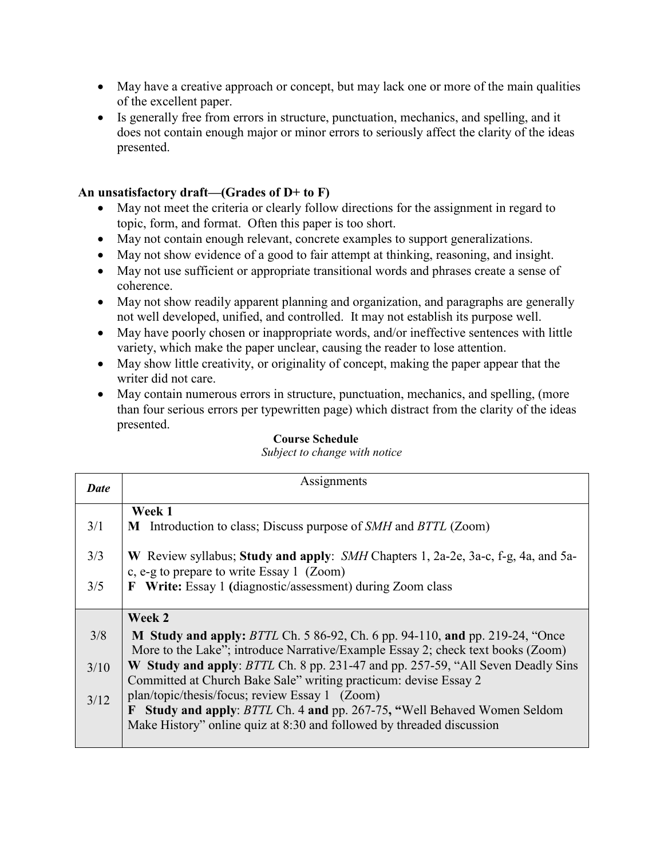- May have a creative approach or concept, but may lack one or more of the main qualities of the excellent paper.
- Is generally free from errors in structure, punctuation, mechanics, and spelling, and it does not contain enough major or minor errors to seriously affect the clarity of the ideas presented.

## **An unsatisfactory draft—(Grades of D+ to F)**

- May not meet the criteria or clearly follow directions for the assignment in regard to topic, form, and format. Often this paper is too short.
- May not contain enough relevant, concrete examples to support generalizations.
- May not show evidence of a good to fair attempt at thinking, reasoning, and insight.
- May not use sufficient or appropriate transitional words and phrases create a sense of coherence.
- May not show readily apparent planning and organization, and paragraphs are generally not well developed, unified, and controlled. It may not establish its purpose well.
- May have poorly chosen or inappropriate words, and/or ineffective sentences with little variety, which make the paper unclear, causing the reader to lose attention.
- May show little creativity, or originality of concept, making the paper appear that the writer did not care.
- May contain numerous errors in structure, punctuation, mechanics, and spelling, (more than four serious errors per typewritten page) which distract from the clarity of the ideas presented.

| Course Schedule |
|-----------------|
|                 |

*Subject to change with notice*

| <b>Date</b> | Assignments                                                                                                                                                                                                       |  |  |
|-------------|-------------------------------------------------------------------------------------------------------------------------------------------------------------------------------------------------------------------|--|--|
| 3/1         | Week 1<br>M Introduction to class; Discuss purpose of <i>SMH</i> and <i>BTTL</i> (Zoom)                                                                                                                           |  |  |
| 3/3         | W Review syllabus; Study and apply: SMH Chapters 1, 2a-2e, 3a-c, f-g, 4a, and 5a-<br>c, e-g to prepare to write Essay 1 (Zoom)                                                                                    |  |  |
| 3/5         | <b>F</b> Write: Essay 1 (diagnostic/assessment) during Zoom class                                                                                                                                                 |  |  |
|             | Week 2                                                                                                                                                                                                            |  |  |
| 3/8         | M Study and apply: BTTL Ch. 5 86-92, Ch. 6 pp. 94-110, and pp. 219-24, "Once<br>More to the Lake"; introduce Narrative/Example Essay 2; check text books (Zoom)                                                   |  |  |
| 3/10        | W Study and apply: BTTL Ch. 8 pp. 231-47 and pp. 257-59, "All Seven Deadly Sins<br>Committed at Church Bake Sale" writing practicum: devise Essay 2                                                               |  |  |
| 3/12        | plan/topic/thesis/focus; review Essay 1 (Zoom)<br>Study and apply: BTTL Ch. 4 and pp. 267-75, "Well Behaved Women Seldom<br>$\mathbf{F}$<br>Make History" online quiz at 8:30 and followed by threaded discussion |  |  |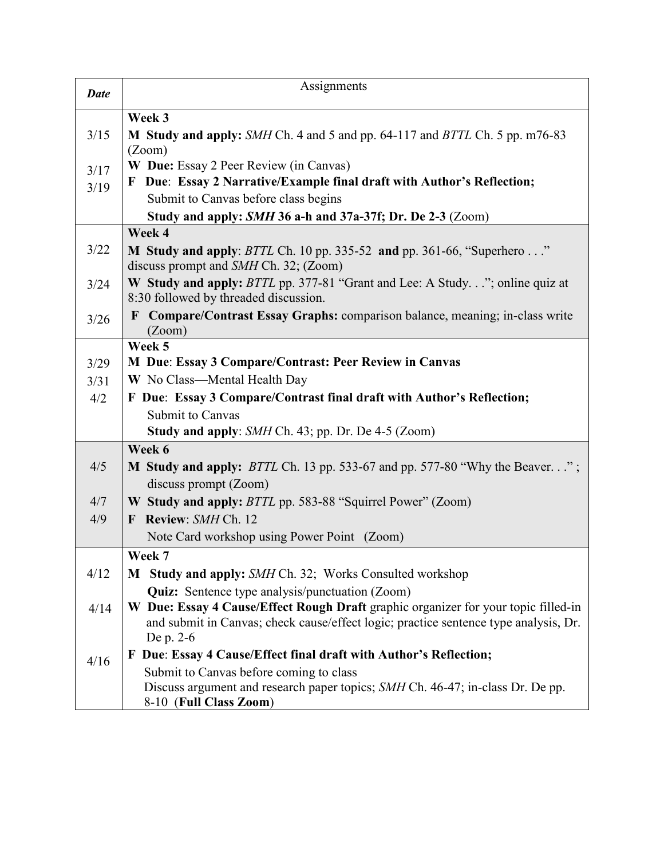| <b>Date</b> | Assignments                                                                                                                                                                             |
|-------------|-----------------------------------------------------------------------------------------------------------------------------------------------------------------------------------------|
|             | Week 3                                                                                                                                                                                  |
| 3/15        | M Study and apply: SMH Ch. 4 and 5 and pp. 64-117 and BTTL Ch. 5 pp. m76-83                                                                                                             |
|             | (Zoom)                                                                                                                                                                                  |
| 3/17        | W Due: Essay 2 Peer Review (in Canvas)                                                                                                                                                  |
| 3/19        | F Due: Essay 2 Narrative/Example final draft with Author's Reflection;                                                                                                                  |
|             | Submit to Canvas before class begins                                                                                                                                                    |
|             | Study and apply: SMH 36 a-h and 37a-37f; Dr. De 2-3 (Zoom)                                                                                                                              |
|             | Week 4                                                                                                                                                                                  |
| 3/22        | M Study and apply: <i>BTTL</i> Ch. 10 pp. 335-52 and pp. 361-66, "Superhero"<br>discuss prompt and <i>SMH</i> Ch. 32; (Zoom)                                                            |
| 3/24        | W Study and apply: BTTL pp. 377-81 "Grant and Lee: A Study"; online quiz at<br>8:30 followed by threaded discussion.                                                                    |
| 3/26        | Compare/Contrast Essay Graphs: comparison balance, meaning; in-class write<br>$\mathbf{F}$<br>(Zoom)                                                                                    |
|             | Week 5                                                                                                                                                                                  |
| 3/29        | M Due: Essay 3 Compare/Contrast: Peer Review in Canvas                                                                                                                                  |
| 3/31        | W No Class—Mental Health Day                                                                                                                                                            |
| 4/2         | F Due: Essay 3 Compare/Contrast final draft with Author's Reflection;                                                                                                                   |
|             | Submit to Canvas                                                                                                                                                                        |
|             | <b>Study and apply:</b> SMH Ch. 43; pp. Dr. De 4-5 (Zoom)                                                                                                                               |
|             | Week 6                                                                                                                                                                                  |
| 4/5         | <b>M Study and apply:</b> BTTL Ch. 13 pp. 533-67 and pp. 577-80 "Why the Beaver";                                                                                                       |
|             | discuss prompt (Zoom)                                                                                                                                                                   |
| 4/7         | W Study and apply: <i>BTTL</i> pp. 583-88 "Squirrel Power" (Zoom)                                                                                                                       |
| 4/9         | F Review: SMH Ch. 12                                                                                                                                                                    |
|             | Note Card workshop using Power Point (Zoom)                                                                                                                                             |
|             | Week 7                                                                                                                                                                                  |
| 4/12        | <b>M</b> Study and apply: SMH Ch. 32; Works Consulted workshop                                                                                                                          |
|             | <b>Quiz:</b> Sentence type analysis/punctuation (Zoom)                                                                                                                                  |
| 4/14        | W Due: Essay 4 Cause/Effect Rough Draft graphic organizer for your topic filled-in<br>and submit in Canvas; check cause/effect logic; practice sentence type analysis, Dr.<br>De p. 2-6 |
| 4/16        | F Due: Essay 4 Cause/Effect final draft with Author's Reflection;                                                                                                                       |
|             | Submit to Canvas before coming to class<br>Discuss argument and research paper topics; SMH Ch. 46-47; in-class Dr. De pp.<br>8-10 (Full Class Zoom)                                     |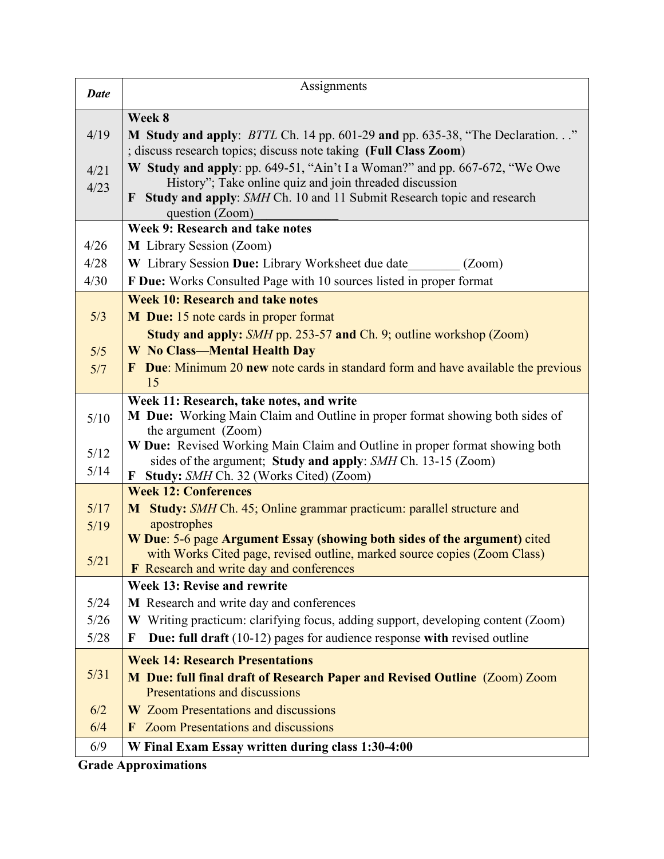| <b>Date</b> | Assignments                                                                                    |
|-------------|------------------------------------------------------------------------------------------------|
|             | Week 8                                                                                         |
| 4/19        | M Study and apply: <i>BTTL</i> Ch. 14 pp. 601-29 and pp. 635-38, "The Declaration"             |
|             | ; discuss research topics; discuss note taking (Full Class Zoom)                               |
| 4/21        | W Study and apply: pp. 649-51, "Ain't I a Woman?" and pp. 667-672, "We Owe                     |
| 4/23        | History"; Take online quiz and join threaded discussion                                        |
|             | F Study and apply: SMH Ch. 10 and 11 Submit Research topic and research<br>question (Zoom)     |
|             | Week 9: Research and take notes                                                                |
| 4/26        | M Library Session (Zoom)                                                                       |
| 4/28        | W Library Session Due: Library Worksheet due date<br>(Zoom)                                    |
| 4/30        | F Due: Works Consulted Page with 10 sources listed in proper format                            |
|             | <b>Week 10: Research and take notes</b>                                                        |
| 5/3         | <b>M</b> Due: 15 note cards in proper format                                                   |
|             | Study and apply: SMH pp. 253-57 and Ch. 9; outline workshop (Zoom)                             |
| 5/5         | <b>W</b> No Class-Mental Health Day                                                            |
| 5/7         | <b>F</b> Due: Minimum 20 new note cards in standard form and have available the previous<br>15 |
|             | Week 11: Research, take notes, and write                                                       |
| 5/10        | M Due: Working Main Claim and Outline in proper format showing both sides of                   |
|             | the argument (Zoom)                                                                            |
| $5/12$      | W Due: Revised Working Main Claim and Outline in proper format showing both                    |
| 5/14        | sides of the argument; Study and apply: SMH Ch. 13-15 (Zoom)                                   |
|             | Study: SMH Ch. 32 (Works Cited) (Zoom)<br>$\mathbf{F}$<br><b>Week 12: Conferences</b>          |
| 5/17        | M Study: SMH Ch. 45; Online grammar practicum: parallel structure and                          |
| 5/19        | apostrophes                                                                                    |
|             | W Due: 5-6 page Argument Essay (showing both sides of the argument) cited                      |
| 5/21        | with Works Cited page, revised outline, marked source copies (Zoom Class)                      |
|             | Research and write day and conferences<br>F<br>Week 13: Revise and rewrite                     |
| 5/24        | M Research and write day and conferences                                                       |
| 5/26        | W Writing practicum: clarifying focus, adding support, developing content (Zoom)               |
| 5/28        | Due: full draft (10-12) pages for audience response with revised outline<br>F                  |
|             | <b>Week 14: Research Presentations</b>                                                         |
| 5/31        | M Due: full final draft of Research Paper and Revised Outline (Zoom) Zoom                      |
|             | Presentations and discussions                                                                  |
| 6/2         | <b>W</b> Zoom Presentations and discussions                                                    |
| 6/4         | <b>Zoom Presentations and discussions</b><br>$\bf{F}$                                          |
| 6/9         | W Final Exam Essay written during class 1:30-4:00                                              |

**Grade Approximations**